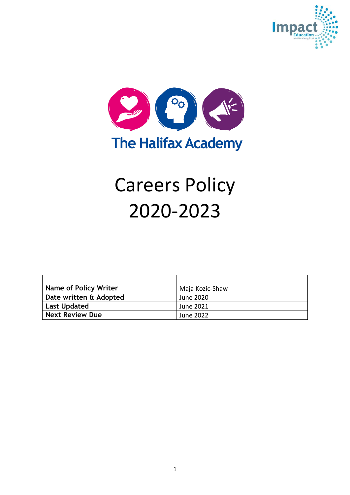



# Careers Policy 2020-2023

| <b>Name of Policy Writer</b> | Maja Kozic-Shaw |
|------------------------------|-----------------|
| Date written & Adopted       | June 2020       |
| <b>Last Updated</b>          | June 2021       |
| <b>Next Review Due</b>       | June 2022       |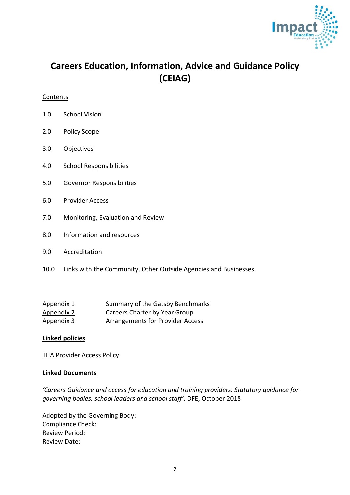

# **Careers Education, Information, Advice and Guidance Policy (CEIAG)**

#### **Contents**

- 1.0 School Vision
- 2.0 Policy Scope
- 3.0 Objectives
- 4.0 School Responsibilities
- 5.0 Governor Responsibilities
- 6.0 Provider Access
- 7.0 Monitoring, Evaluation and Review
- 8.0 Information and resources
- 9.0 Accreditation
- 10.0 Links with the Community, Other Outside Agencies and Businesses

| Appendix 1 | Summary of the Gatsby Benchmarks        |
|------------|-----------------------------------------|
| Appendix 2 | Careers Charter by Year Group           |
| Appendix 3 | <b>Arrangements for Provider Access</b> |

#### **Linked policies**

THA Provider Access Policy

#### **Linked Documents**

*'Careers Guidance and access for education and training providers. Statutory guidance for governing bodies, school leaders and school staff'*. DFE, October 2018

Adopted by the Governing Body: Compliance Check: Review Period: Review Date: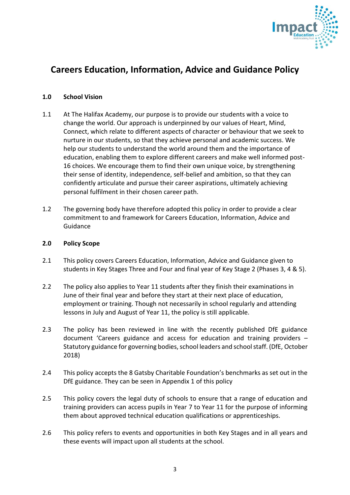

# **Careers Education, Information, Advice and Guidance Policy**

#### **1.0 School Vision**

- 1.1 At The Halifax Academy, our purpose is to provide our students with a voice to change the world. Our approach is underpinned by our values of Heart, Mind, Connect, which relate to different aspects of character or behaviour that we seek to nurture in our students, so that they achieve personal and academic success. We help our students to understand the world around them and the importance of education, enabling them to explore different careers and make well informed post-16 choices. We encourage them to find their own unique voice, by strengthening their sense of identity, independence, self-belief and ambition, so that they can confidently articulate and pursue their career aspirations, ultimately achieving personal fulfilment in their chosen career path.
- 1.2 The governing body have therefore adopted this policy in order to provide a clear commitment to and framework for Careers Education, Information, Advice and Guidance

#### **2.0 Policy Scope**

- 2.1 This policy covers Careers Education, Information, Advice and Guidance given to students in Key Stages Three and Four and final year of Key Stage 2 (Phases 3, 4 & 5).
- 2.2 The policy also applies to Year 11 students after they finish their examinations in June of their final year and before they start at their next place of education, employment or training. Though not necessarily in school regularly and attending lessons in July and August of Year 11, the policy is still applicable.
- 2.3 The policy has been reviewed in line with the recently published DfE guidance document 'Careers guidance and access for education and training providers – Statutory guidance for governing bodies, school leaders and school staff. (DfE, October 2018)
- 2.4 This policy accepts the 8 Gatsby Charitable Foundation's benchmarks as set out in the DfE guidance. They can be seen in Appendix 1 of this policy
- 2.5 This policy covers the legal duty of schools to ensure that a range of education and training providers can access pupils in Year 7 to Year 11 for the purpose of informing them about approved technical education qualifications or apprenticeships.
- 2.6 This policy refers to events and opportunities in both Key Stages and in all years and these events will impact upon all students at the school.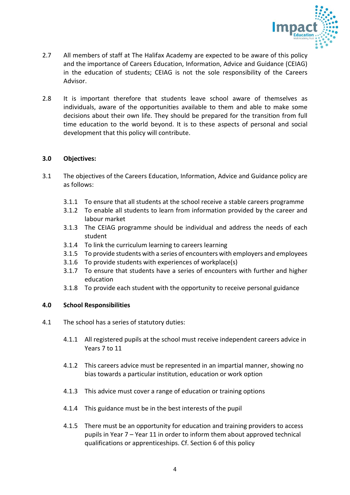

- 2.7 All members of staff at The Halifax Academy are expected to be aware of this policy and the importance of Careers Education, Information, Advice and Guidance (CEIAG) in the education of students; CEIAG is not the sole responsibility of the Careers Advisor.
- 2.8 It is important therefore that students leave school aware of themselves as individuals, aware of the opportunities available to them and able to make some decisions about their own life. They should be prepared for the transition from full time education to the world beyond. It is to these aspects of personal and social development that this policy will contribute.

#### **3.0 Objectives:**

- 3.1 The objectives of the Careers Education, Information, Advice and Guidance policy are as follows:
	- 3.1.1 To ensure that all students at the school receive a stable careers programme
	- 3.1.2 To enable all students to learn from information provided by the career and labour market
	- 3.1.3 The CEIAG programme should be individual and address the needs of each student
	- 3.1.4 To link the curriculum learning to careers learning
	- 3.1.5 To provide students with a series of encounters with employers and employees
	- 3.1.6 To provide students with experiences of workplace(s)
	- 3.1.7 To ensure that students have a series of encounters with further and higher education
	- 3.1.8 To provide each student with the opportunity to receive personal guidance

#### **4.0 School Responsibilities**

- 4.1 The school has a series of statutory duties:
	- 4.1.1 All registered pupils at the school must receive independent careers advice in Years 7 to 11
	- 4.1.2 This careers advice must be represented in an impartial manner, showing no bias towards a particular institution, education or work option
	- 4.1.3 This advice must cover a range of education or training options
	- 4.1.4 This guidance must be in the best interests of the pupil
	- 4.1.5 There must be an opportunity for education and training providers to access pupils in Year 7 – Year 11 in order to inform them about approved technical qualifications or apprenticeships. Cf. Section 6 of this policy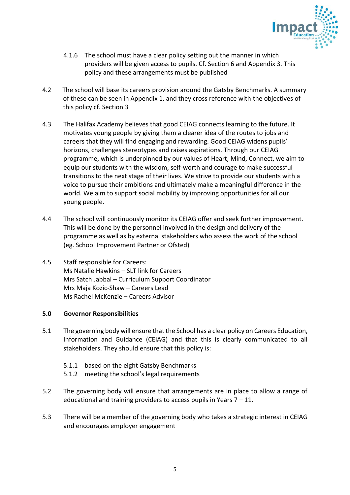

- 4.1.6 The school must have a clear policy setting out the manner in which providers will be given access to pupils. Cf. Section 6 and Appendix 3. This policy and these arrangements must be published
- 4.2 The school will base its careers provision around the Gatsby Benchmarks. A summary of these can be seen in Appendix 1, and they cross reference with the objectives of this policy cf. Section 3
- 4.3 The Halifax Academy believes that good CEIAG connects learning to the future. It motivates young people by giving them a clearer idea of the routes to jobs and careers that they will find engaging and rewarding. Good CEIAG widens pupils' horizons, challenges stereotypes and raises aspirations. Through our CEIAG programme, which is underpinned by our values of Heart, Mind, Connect, we aim to equip our students with the wisdom, self-worth and courage to make successful transitions to the next stage of their lives. We strive to provide our students with a voice to pursue their ambitions and ultimately make a meaningful difference in the world. We aim to support social mobility by improving opportunities for all our young people.
- 4.4 The school will continuously monitor its CEIAG offer and seek further improvement. This will be done by the personnel involved in the design and delivery of the programme as well as by external stakeholders who assess the work of the school (eg. School Improvement Partner or Ofsted)
- 4.5 Staff responsible for Careers: Ms Natalie Hawkins – SLT link for Careers Mrs Satch Jabbal – Curriculum Support Coordinator Mrs Maja Kozic-Shaw – Careers Lead Ms Rachel McKenzie – Careers Advisor

#### **5.0 Governor Responsibilities**

- 5.1 The governing body will ensure that the School has a clear policy on Careers Education, Information and Guidance (CEIAG) and that this is clearly communicated to all stakeholders. They should ensure that this policy is:
	- 5.1.1 based on the eight Gatsby Benchmarks
	- 5.1.2 meeting the school's legal requirements
- 5.2 The governing body will ensure that arrangements are in place to allow a range of educational and training providers to access pupils in Years  $7 - 11$ .
- 5.3 There will be a member of the governing body who takes a strategic interest in CEIAG and encourages employer engagement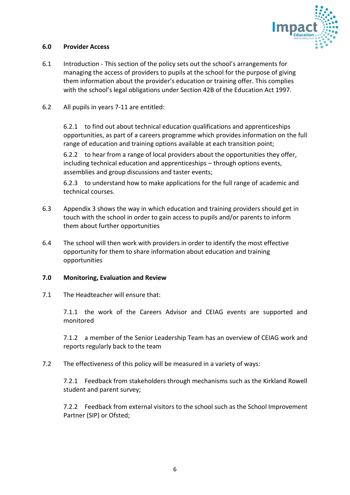

#### **6.0 Provider Access**

- 6.1 Introduction This section of the policy sets out the school's arrangements for managing the access of providers to pupils at the school for the purpose of giving them information about the provider's education or training offer. This complies with the school's legal obligations under Section 42B of the Education Act 1997.
- 6.2 All pupils in years 7-11 are entitled:

6.2.1 to find out about technical education qualifications and apprenticeships opportunities, as part of a careers programme which provides information on the full range of education and training options available at each transition point;

6.2.2 to hear from a range of local providers about the opportunities they offer, including technical education and apprenticeships – through options events, assemblies and group discussions and taster events;

6.2.3 to understand how to make applications for the full range of academic and technical courses.

- 6.3 Appendix 3 shows the way in which education and training providers should get in touch with the school in order to gain access to pupils and/or parents to inform them about further opportunities
- 6.4 The school will then work with providers in order to identify the most effective opportunity for them to share information about education and training opportunities

#### **7.0 Monitoring, Evaluation and Review**

7.1 The Headteacher will ensure that:

7.1.1 the work of the Careers Advisor and CEIAG events are supported and monitored

7.1.2 a member of the Senior Leadership Team has an overview of CEIAG work and reports regularly back to the team

7.2 The effectiveness of this policy will be measured in a variety of ways:

7.2.1 Feedback from stakeholders through mechanisms such as the Kirkland Rowell student and parent survey;

7.2.2 Feedback from external visitors to the school such as the School Improvement Partner (SIP) or Ofsted;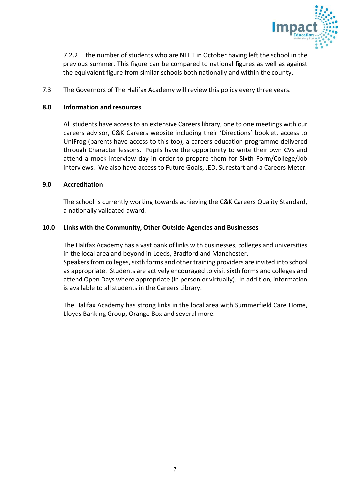

7.2.2 the number of students who are NEET in October having left the school in the previous summer. This figure can be compared to national figures as well as against the equivalent figure from similar schools both nationally and within the county.

7.3 The Governors of The Halifax Academy will review this policy every three years.

#### **8.0 Information and resources**

All students have access to an extensive Careers library, one to one meetings with our careers advisor, C&K Careers website including their 'Directions' booklet, access to UniFrog (parents have access to this too), a careers education programme delivered through Character lessons. Pupils have the opportunity to write their own CVs and attend a mock interview day in order to prepare them for Sixth Form/College/Job interviews. We also have access to Future Goals, JED, Surestart and a Careers Meter.

#### **9.0 Accreditation**

The school is currently working towards achieving the C&K Careers Quality Standard, a nationally validated award.

#### **10.0 Links with the Community, Other Outside Agencies and Businesses**

The Halifax Academy has a vast bank of links with businesses, colleges and universities in the local area and beyond in Leeds, Bradford and Manchester. Speakers from colleges, sixth forms and other training providers are invited into school as appropriate. Students are actively encouraged to visit sixth forms and colleges and attend Open Days where appropriate (In person or virtually). In addition, information is available to all students in the Careers Library.

The Halifax Academy has strong links in the local area with Summerfield Care Home, Lloyds Banking Group, Orange Box and several more.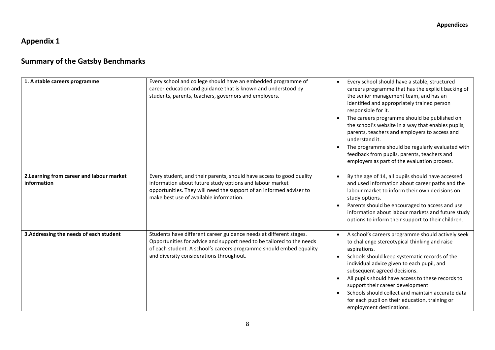## **Appendix 1**

# **Summary of the Gatsby Benchmarks**

| 1. A stable careers programme                            | Every school and college should have an embedded programme of<br>career education and guidance that is known and understood by<br>students, parents, teachers, governors and employers.                                                                        | Every school should have a stable, structured<br>$\bullet$<br>careers programme that has the explicit backing of<br>the senior management team, and has an<br>identified and appropriately trained person<br>responsible for it.<br>The careers programme should be published on<br>$\bullet$<br>the school's website in a way that enables pupils,<br>parents, teachers and employers to access and<br>understand it.<br>The programme should be regularly evaluated with<br>feedback from pupils, parents, teachers and<br>employers as part of the evaluation process. |
|----------------------------------------------------------|----------------------------------------------------------------------------------------------------------------------------------------------------------------------------------------------------------------------------------------------------------------|---------------------------------------------------------------------------------------------------------------------------------------------------------------------------------------------------------------------------------------------------------------------------------------------------------------------------------------------------------------------------------------------------------------------------------------------------------------------------------------------------------------------------------------------------------------------------|
| 2. Learning from career and labour market<br>information | Every student, and their parents, should have access to good quality<br>information about future study options and labour market<br>opportunities. They will need the support of an informed adviser to<br>make best use of available information.             | By the age of 14, all pupils should have accessed<br>$\bullet$<br>and used information about career paths and the<br>labour market to inform their own decisions on<br>study options.<br>Parents should be encouraged to access and use<br>$\bullet$<br>information about labour markets and future study<br>options to inform their support to their children.                                                                                                                                                                                                           |
| 3. Addressing the needs of each student                  | Students have different career guidance needs at different stages.<br>Opportunities for advice and support need to be tailored to the needs<br>of each student. A school's careers programme should embed equality<br>and diversity considerations throughout. | A school's careers programme should actively seek<br>$\bullet$<br>to challenge stereotypical thinking and raise<br>aspirations.<br>Schools should keep systematic records of the<br>$\bullet$<br>individual advice given to each pupil, and<br>subsequent agreed decisions.<br>All pupils should have access to these records to<br>support their career development.<br>Schools should collect and maintain accurate data<br>for each pupil on their education, training or<br>employment destinations.                                                                  |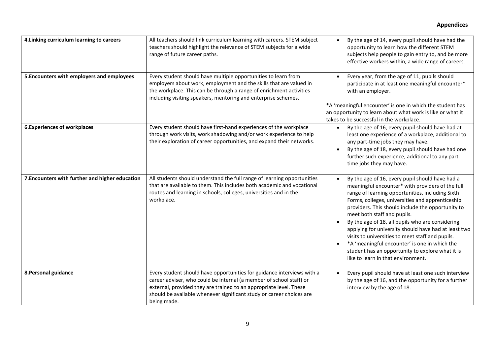| 4. Linking curriculum learning to careers       | All teachers should link curriculum learning with careers. STEM subject<br>teachers should highlight the relevance of STEM subjects for a wide<br>range of future career paths.                                                                                                                            | By the age of 14, every pupil should have had the<br>$\bullet$<br>opportunity to learn how the different STEM<br>subjects help people to gain entry to, and be more<br>effective workers within, a wide range of careers.                                                                                                                                                                                                                                                                                                                                                                                                                         |
|-------------------------------------------------|------------------------------------------------------------------------------------------------------------------------------------------------------------------------------------------------------------------------------------------------------------------------------------------------------------|---------------------------------------------------------------------------------------------------------------------------------------------------------------------------------------------------------------------------------------------------------------------------------------------------------------------------------------------------------------------------------------------------------------------------------------------------------------------------------------------------------------------------------------------------------------------------------------------------------------------------------------------------|
| 5. Encounters with employers and employees      | Every student should have multiple opportunities to learn from<br>employers about work, employment and the skills that are valued in<br>the workplace. This can be through a range of enrichment activities<br>including visiting speakers, mentoring and enterprise schemes.                              | Every year, from the age of 11, pupils should<br>$\bullet$<br>participate in at least one meaningful encounter*<br>with an employer.<br>*A 'meaningful encounter' is one in which the student has<br>an opportunity to learn about what work is like or what it<br>takes to be successful in the workplace.                                                                                                                                                                                                                                                                                                                                       |
| <b>6. Experiences of workplaces</b>             | Every student should have first-hand experiences of the workplace<br>through work visits, work shadowing and/or work experience to help<br>their exploration of career opportunities, and expand their networks.                                                                                           | By the age of 16, every pupil should have had at<br>$\bullet$<br>least one experience of a workplace, additional to<br>any part-time jobs they may have.<br>By the age of 18, every pupil should have had one<br>$\bullet$<br>further such experience, additional to any part-<br>time jobs they may have.                                                                                                                                                                                                                                                                                                                                        |
| 7. Encounters with further and higher education | All students should understand the full range of learning opportunities<br>that are available to them. This includes both academic and vocational<br>routes and learning in schools, colleges, universities and in the<br>workplace.                                                                       | By the age of 16, every pupil should have had a<br>$\bullet$<br>meaningful encounter* with providers of the full<br>range of learning opportunities, including Sixth<br>Forms, colleges, universities and apprenticeship<br>providers. This should include the opportunity to<br>meet both staff and pupils.<br>By the age of 18, all pupils who are considering<br>$\bullet$<br>applying for university should have had at least two<br>visits to universities to meet staff and pupils.<br>*A 'meaningful encounter' is one in which the<br>$\bullet$<br>student has an opportunity to explore what it is<br>like to learn in that environment. |
| 8. Personal guidance                            | Every student should have opportunities for guidance interviews with a<br>career adviser, who could be internal (a member of school staff) or<br>external, provided they are trained to an appropriate level. These<br>should be available whenever significant study or career choices are<br>being made. | Every pupil should have at least one such interview<br>$\bullet$<br>by the age of 16, and the opportunity for a further<br>interview by the age of 18.                                                                                                                                                                                                                                                                                                                                                                                                                                                                                            |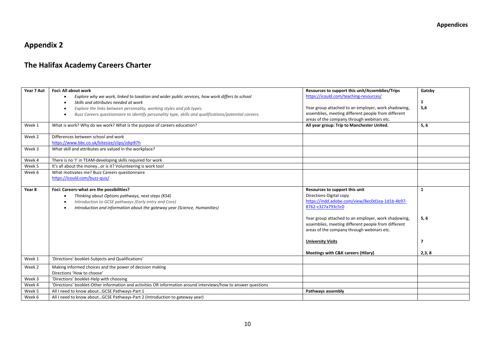## **Appendix 2**

## **The Halifax Academy Careers Charter**

| Year 7 Aut | Foci: All about work                                                                                               | Resources to support this unit/Assemblies/Trips     | Gatsby                  |
|------------|--------------------------------------------------------------------------------------------------------------------|-----------------------------------------------------|-------------------------|
|            | Explore why we work, linked to taxation and wider public services, how work differs to school<br>$\bullet$         | https://icould.com/teaching-resources/              |                         |
|            | Skills and attributes needed at work                                                                               |                                                     | $\mathbf{1}$            |
|            | Explore the links between personality, working styles and job types.                                               | Year group attached to an employer, work shadowing, | 5,6                     |
|            | Buzz Careers questionnaire to identify personality type, skills and qualifications/potential careers.<br>$\bullet$ | assemblies, meeting different people from different |                         |
|            |                                                                                                                    | areas of the company through webinars etc.          |                         |
| Week 1     | What is work? Why do we work? What is the purpose of careers education?                                            | All year group: Trip to Manchester United.          | 5, 6                    |
| Week 2     | Differences between school and work                                                                                |                                                     |                         |
|            | https://www.bbc.co.uk/bitesize/clips/zdgr87h                                                                       |                                                     |                         |
| Week 3     | What skill and attributes are valued in the workplace?                                                             |                                                     |                         |
| Week 4     | There is no 'I' in TEAM-developing skills required for work                                                        |                                                     |                         |
| Week 5     | It's all about the moneyor is it? Volunteering is work too!                                                        |                                                     |                         |
| Week 6     | What motivates me? Buzz Careers questionnaire                                                                      |                                                     |                         |
|            | https://icould.com/buzz-quiz/                                                                                      |                                                     |                         |
|            |                                                                                                                    |                                                     |                         |
| Year 8     | Foci: Careers-what are the possibilities?                                                                          | Resources to support this unit                      | $\mathbf{1}$            |
|            | Thinking about Options pathways, next steps (KS4)                                                                  | Directions-Digital copy                             |                         |
|            | Introduction to GCSE pathways (Early entry and Core)                                                               | https://indd.adobe.com/view/8ec0d1ea-1d1b-4b97-     |                         |
|            | Introduction and information about the gateway year (Science, Humanities)                                          | 8762-c327a793c5c0                                   |                         |
|            |                                                                                                                    |                                                     |                         |
|            |                                                                                                                    | Year group attached to an employer, work shadowing, | 5, 6                    |
|            |                                                                                                                    | assemblies, meeting different people from different |                         |
|            |                                                                                                                    | areas of the company through webinars etc.          |                         |
|            |                                                                                                                    |                                                     |                         |
|            |                                                                                                                    | <b>University Visits</b>                            | $\overline{\mathbf{z}}$ |
|            |                                                                                                                    |                                                     |                         |
|            |                                                                                                                    | <b>Meetings with C&amp;K careers (Hilary)</b>       | 2,3,8                   |
| Week 1     | 'Directions' booklet-Subjects and Qualifications'                                                                  |                                                     |                         |
| Week 2     | Making informed choices and the power of decision making                                                           |                                                     |                         |
|            | Directions 'How to choose'                                                                                         |                                                     |                         |
| Week 3     | 'Directions' booklet-Help with choosing                                                                            |                                                     |                         |
| Week 4     | 'Directions' booklet-Other information and activities OR information around interviews/how to answer questions     |                                                     |                         |
| Week 5     | All I need to know aboutGCSE Pathways-Part 1                                                                       | Pathways assembly                                   |                         |
| Week 6     | All I need to know aboutGCSE Pathways-Part 2 (Introduction to gateway year)                                        |                                                     |                         |
|            |                                                                                                                    |                                                     |                         |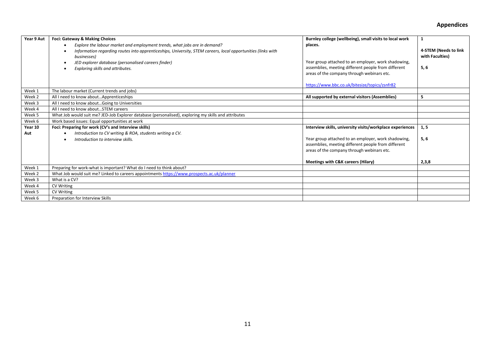#### **Appendices**

| Year 9 Aut | Foci: Gateway & Making Choices                                                                                                           | Burnley college (wellbeing), small visits to local work                                                                                                  | 1                                        |
|------------|------------------------------------------------------------------------------------------------------------------------------------------|----------------------------------------------------------------------------------------------------------------------------------------------------------|------------------------------------------|
|            | Explore the labour market and employment trends, what jobs are in demand?                                                                | places.                                                                                                                                                  |                                          |
|            | Information regarding routes into apprenticeships, University, STEM careers, local opportunities (links with<br>$\bullet$<br>businesses) |                                                                                                                                                          | 4-STEM (Needs to link<br>with Faculties) |
|            | JED explorer database (personalised careers finder)<br>Exploring skills and attributes.<br>$\bullet$                                     | Year group attached to an employer, work shadowing,<br>assemblies, meeting different people from different<br>areas of the company through webinars etc. | 5, 6                                     |
|            |                                                                                                                                          | https://www.bbc.co.uk/bitesize/topics/zsnfr82                                                                                                            |                                          |
| Week 1     | The labour market (Current trends and jobs)                                                                                              |                                                                                                                                                          |                                          |
| Week 2     | All I need to know aboutApprenticeships                                                                                                  | All supported by external visitors (Assemblies)                                                                                                          | 5                                        |
| Week 3     | All I need to know aboutGoing to Universities                                                                                            |                                                                                                                                                          |                                          |
| Week 4     | All I need to know aboutSTEM careers                                                                                                     |                                                                                                                                                          |                                          |
| Week 5     | What Job would suit me? JED-Job Explorer database (personalised), exploring my skills and attributes                                     |                                                                                                                                                          |                                          |
| Week 6     | Work based issues: Equal opportunities at work                                                                                           |                                                                                                                                                          |                                          |
| Year 10    | Foci: Preparing for work (CV's and Interview skills)                                                                                     | Interview skills, university visits/workplace experiences                                                                                                | 1, 5                                     |
| Aut        | Introduction to CV writing & ROA, students writing a CV.<br>$\bullet$                                                                    |                                                                                                                                                          |                                          |
|            | Introduction to interview skills.                                                                                                        | Year group attached to an employer, work shadowing,<br>assemblies, meeting different people from different<br>areas of the company through webinars etc. | 5,6                                      |
|            |                                                                                                                                          | Meetings with C&K careers (Hilary)                                                                                                                       | 2,3,8                                    |
| Week 1     | Preparing for work-what is important? What do I need to think about?                                                                     |                                                                                                                                                          |                                          |
| Week 2     | What Job would suit me? Linked to careers appointments https://www.prospects.ac.uk/planner                                               |                                                                                                                                                          |                                          |
| Week 3     | What is a CV?                                                                                                                            |                                                                                                                                                          |                                          |
| Week 4     | <b>CV Writing</b>                                                                                                                        |                                                                                                                                                          |                                          |
| Week 5     | <b>CV Writing</b>                                                                                                                        |                                                                                                                                                          |                                          |
| Week 6     | Preparation for Interview Skills                                                                                                         |                                                                                                                                                          |                                          |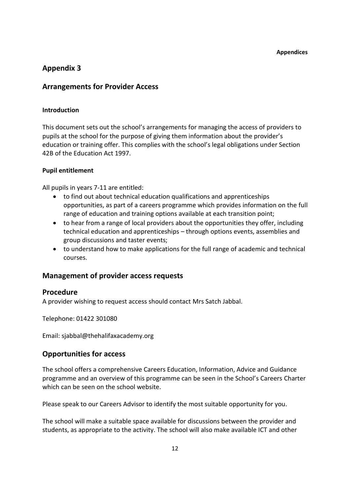## **Appendix 3**

### **Arrangements for Provider Access**

#### **Introduction**

This document sets out the school's arrangements for managing the access of providers to pupils at the school for the purpose of giving them information about the provider's education or training offer. This complies with the school's legal obligations under Section 42B of the Education Act 1997.

#### **Pupil entitlement**

All pupils in years 7-11 are entitled:

- to find out about technical education qualifications and apprenticeships opportunities, as part of a careers programme which provides information on the full range of education and training options available at each transition point;
- to hear from a range of local providers about the opportunities they offer, including technical education and apprenticeships – through options events, assemblies and group discussions and taster events;
- to understand how to make applications for the full range of academic and technical courses.

## **Management of provider access requests**

#### **Procedure**

A provider wishing to request access should contact Mrs Satch Jabbal.

Telephone: 01422 301080

Email: sjabbal@thehalifaxacademy.org

## **Opportunities for access**

The school offers a comprehensive Careers Education, Information, Advice and Guidance programme and an overview of this programme can be seen in the School's Careers Charter which can be seen on the school website.

Please speak to our Careers Advisor to identify the most suitable opportunity for you.

The school will make a suitable space available for discussions between the provider and students, as appropriate to the activity. The school will also make available ICT and other